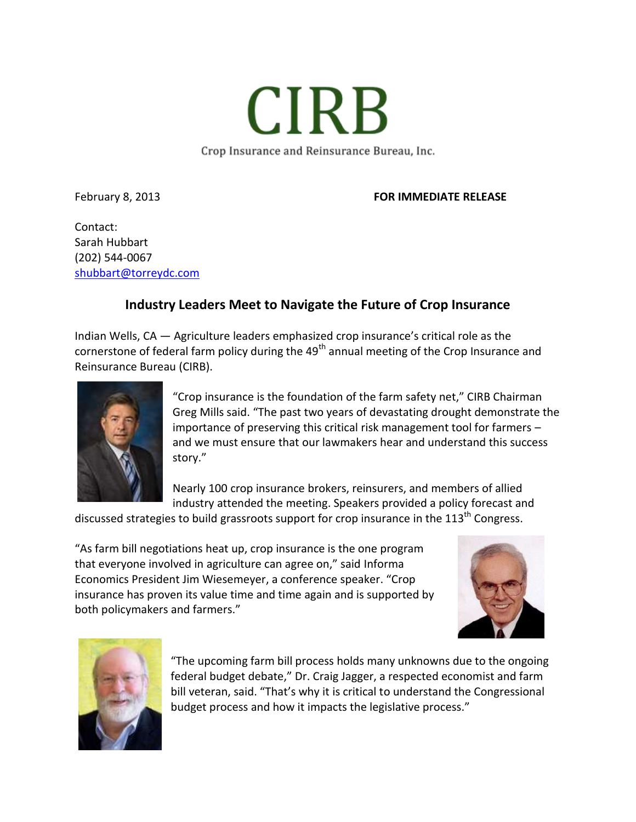Crop Insurance and Reinsurance Bureau, Inc.

**CIRB** 

## February 8, 2013 **FOR IMMEDIATE RELEASE**

Contact: Sarah Hubbart (202) 544-0067 [shubbart@torreydc.com](mailto:shubbart@torreydc.com)

## **Industry Leaders Meet to Navigate the Future of Crop Insurance**

Indian Wells, CA — Agriculture leaders emphasized crop insurance's critical role as the cornerstone of federal farm policy during the 49<sup>th</sup> annual meeting of the Crop Insurance and Reinsurance Bureau (CIRB).



"Crop insurance is the foundation of the farm safety net," CIRB Chairman Greg Mills said. "The past two years of devastating drought demonstrate the importance of preserving this critical risk management tool for farmers – and we must ensure that our lawmakers hear and understand this success story."

Nearly 100 crop insurance brokers, reinsurers, and members of allied industry attended the meeting. Speakers provided a policy forecast and

discussed strategies to build grassroots support for crop insurance in the  $113<sup>th</sup>$  Congress.

"As farm bill negotiations heat up, crop insurance is the one program that everyone involved in agriculture can agree on," said Informa Economics President Jim Wiesemeyer, a conference speaker. "Crop insurance has proven its value time and time again and is supported by both policymakers and farmers."





"The upcoming farm bill process holds many unknowns due to the ongoing federal budget debate," Dr. Craig Jagger, a respected economist and farm bill veteran, said. "That's why it is critical to understand the Congressional budget process and how it impacts the legislative process."